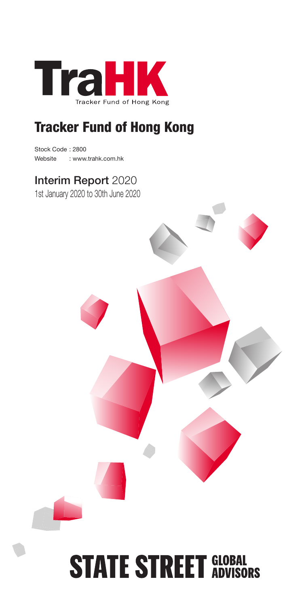

# Tracker Fund of Hong Kong

Stock Code : 2800 Website : www.trahk.com.hk

# Interim Report 2020

1st January 2020 to 30th June 2020



# **STATE STREET GLOBAL**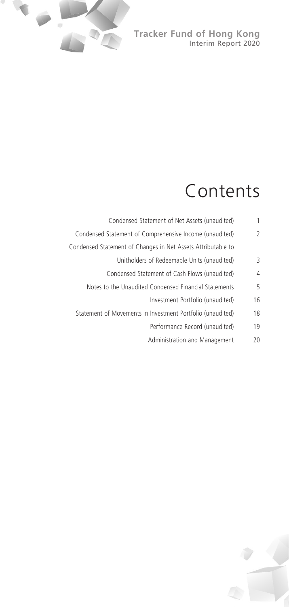$\bar{\theta}$ 

37

# Contents

| 1  | Condensed Statement of Net Assets (unaudited)                |
|----|--------------------------------------------------------------|
| 2  | Condensed Statement of Comprehensive Income (unaudited)      |
|    | Condensed Statement of Changes in Net Assets Attributable to |
| Β  | Unitholders of Redeemable Units (unaudited)                  |
| 4  | Condensed Statement of Cash Flows (unaudited)                |
| 5  | Notes to the Unaudited Condensed Financial Statements        |
| 16 | Investment Portfolio (unaudited)                             |
| 18 | Statement of Movements in Investment Portfolio (unaudited)   |
| 19 | Performance Record (unaudited)                               |
| 20 | Administration and Management                                |
|    |                                                              |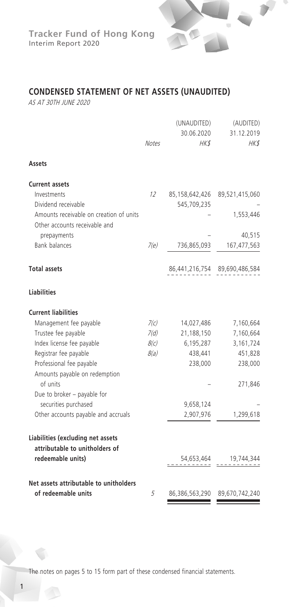

# **CONDENSED STATEMENT OF NET ASSETS (UNAUDITED)**

AS AT 30TH JUNE 2020

|                                                             |       | (UNAUDITED)    | (AUDITED)                     |
|-------------------------------------------------------------|-------|----------------|-------------------------------|
|                                                             |       | 30.06.2020     | 31.12.2019                    |
|                                                             | Notes | <b>HK\$</b>    | <b>HK\$</b>                   |
| Assets                                                      |       |                |                               |
| <b>Current assets</b>                                       |       |                |                               |
| Investments                                                 | 12    | 85,158,642,426 | 89,521,415,060                |
| Dividend receivable                                         |       | 545,709,235    |                               |
| Amounts receivable on creation of units                     |       |                | 1,553,446                     |
| Other accounts receivable and                               |       |                |                               |
| prepayments                                                 |       |                | 40,515                        |
| Bank balances                                               | 7(e)  | 736,865,093    | 167,477,563                   |
| <b>Total assets</b>                                         |       |                | 86,441,216,754 89,690,486,584 |
| Liabilities                                                 |       |                |                               |
| <b>Current liabilities</b>                                  |       |                |                               |
| Management fee payable                                      | 7(c)  | 14,027,486     | 7,160,664                     |
| Trustee fee payable                                         | 7(d)  | 21,188,150     | 7,160,664                     |
| Index license fee payable                                   | 8(c)  | 6,195,287      | 3,161,724                     |
| Registrar fee payable                                       | 8(a)  | 438,441        | 451,828                       |
| Professional fee payable                                    |       | 238,000        | 238,000                       |
| Amounts payable on redemption                               |       |                |                               |
| of units                                                    |       |                | 271,846                       |
| Due to broker - payable for                                 |       |                |                               |
| securities purchased<br>Other accounts payable and accruals |       | 9,658,124      | 1,299,618                     |
|                                                             |       | 2,907,976      |                               |
| Liabilities (excluding net assets                           |       |                |                               |
| attributable to unitholders of                              |       |                |                               |
| redeemable units)                                           |       | 54,653,464     | 19,744,344                    |
| Net assets attributable to unitholders                      |       |                |                               |
| of redeemable units                                         | 5     | 86,386,563,290 | 89,670,742,240                |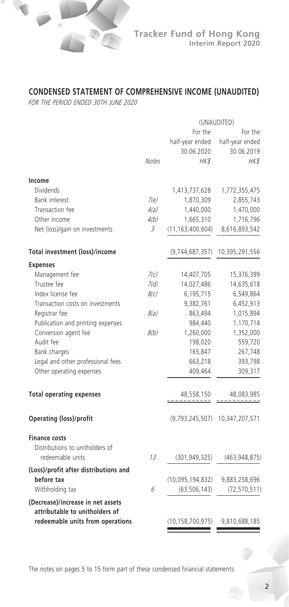

# **CONDENSED STATEMENT OF COMPREHENSIVE INCOME (UNAUDITED)**

FOR THE PERIOD ENDED 30TH JUNE 2020

m

|                                                                    | (UNAUDITED)  |                     |                 |
|--------------------------------------------------------------------|--------------|---------------------|-----------------|
|                                                                    |              | For the             | For the         |
|                                                                    |              | half-year ended     | half-year ended |
|                                                                    |              | 30.06.2020          | 30.06.2019      |
|                                                                    | <b>Notes</b> | HK\$                | HK\$            |
| Income                                                             |              |                     |                 |
| <b>Dividends</b>                                                   |              | 1,413,737,628       | 1,772,355,475   |
| <b>Bank interest</b>                                               | 7(e)         | 1,870,309           | 2,855,743       |
| Transaction fee                                                    | 4(a)         | 1,440,000           | 1,470,000       |
| Other income                                                       | 4(b)         | 1,665,310           | 1,716,796       |
| Net (loss)/gain on investments                                     | 3            | (11, 163, 400, 604) | 8,616,893,542   |
| Total investment (loss)/income                                     |              | (9,744,687,357)     | 10,395,291,556  |
| <b>Expenses</b>                                                    |              |                     |                 |
| Management fee                                                     | 7(c)         | 14,407,705          | 15,376,399      |
| Trustee fee                                                        | 7(d)         | 14,027,486          | 14,635,618      |
| Index license fee                                                  | 8(c)         | 6,195,715           | 6,549,864       |
| Transaction costs on investments                                   |              | 9,382,761           | 6,452,913       |
| Registrar fee                                                      | 8(a)         | 863,494             | 1,015,894       |
| Publication and printing expenses                                  |              | 984,440             | 1,170,714       |
| Conversion agent fee                                               | 8(b)         | 1,260,000           | 1,352,000       |
| Audit fee                                                          |              | 198,020             | 559,720         |
| Bank charges                                                       |              | 165,847             | 267,748         |
| Legal and other professional fees                                  |              | 663,218             | 393,798         |
| Other operating expenses                                           |              | 409,464             | 309,317         |
| <b>Total operating expenses</b>                                    |              | 48,558,150          | 48,083,985      |
| Operating (loss)/profit                                            |              | (9,793,245,507)     | 10,347,207,571  |
| <b>Finance costs</b>                                               |              |                     |                 |
| Distributions to unitholders of                                    |              |                     |                 |
| redeemable units                                                   | 13           | (301, 949, 325)     | (463, 948, 875) |
| (Loss)/profit after distributions and                              |              |                     |                 |
| before tax                                                         |              | (10,095,194,832)    | 9,883,258,696   |
| Withholding tax                                                    | 6            | (63, 506, 143)      | (72, 570, 511)  |
| (Decrease)/increase in net assets                                  |              |                     |                 |
| attributable to unitholders of<br>redeemable units from operations |              | (10, 158, 700, 975) | 9,810,688,185   |
|                                                                    |              |                     |                 |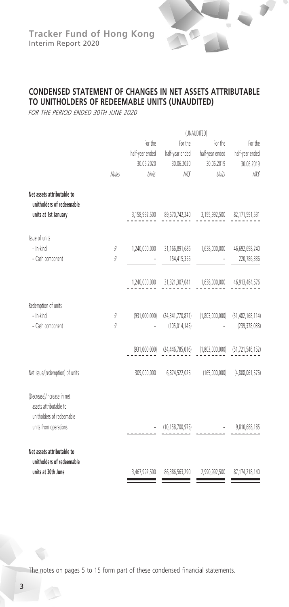

# **CONDENSED STATEMENT OF CHANGES IN NET ASSETS ATTRIBUTABLE TO UNITHOLDERS OF REDEEMABLE UNITS (UNAUDITED)**

FOR THE PERIOD ENDED 30TH JUNE 2020

|                                                                                   | (UNAUDITED) |                 |                                            |                                 |                     |
|-----------------------------------------------------------------------------------|-------------|-----------------|--------------------------------------------|---------------------------------|---------------------|
|                                                                                   |             | For the         | For the                                    | For the                         | For the             |
|                                                                                   |             | half-year ended |                                            | half-year ended half-year ended | half-year ended     |
|                                                                                   |             | 30.06.2020      | 30.06.2020                                 | 30.06.2019                      | 30.06.2019          |
|                                                                                   | Notes       | Units           | <b>HKS</b>                                 | Units                           | HKS                 |
| Net assets attributable to<br>unitholders of redeemable                           |             |                 |                                            |                                 |                     |
| units at 1st January                                                              |             |                 | 3,158,992,500 89,670,742,240 3,155,992,500 |                                 | 82,171,591,531      |
| Issue of units                                                                    |             |                 |                                            |                                 |                     |
| - In-kind                                                                         | g           | 1,240,000,000   | 31,166,891,686                             | 1,638,000,000                   | 46,692,698,240      |
| - Cash component                                                                  | 9           |                 | 154,415,355                                |                                 | 220,786,336         |
|                                                                                   |             | 1,240,000,000   | 31, 321, 307, 041                          | 1,638,000,000                   | 46,913,484,576      |
| Redemption of units                                                               |             |                 |                                            |                                 |                     |
| - In-kind                                                                         | 9           | (931.000.000)   | (24, 341, 770, 871)                        | (1,803,000,000)                 | (51, 482, 168, 114) |
| - Cash component                                                                  | 9           |                 | (105, 014, 145)                            |                                 | (239, 378, 038)     |
|                                                                                   |             | (931,000,000)   | (24, 446, 785, 016)                        | (1,803,000,000)                 | (51, 721, 546, 152) |
| Net issue/(redemption) of units                                                   |             | 309,000,000     |                                            | 6,874,522,025 (165,000,000)     | (4,808,061,576)     |
| (Decrease)/increase in net<br>assets attributable to<br>unitholders of redeemable |             |                 |                                            |                                 |                     |
| units from operations                                                             |             |                 | (10, 158, 700, 975)                        |                                 | 9,810,688,185       |
| Net assets attributable to                                                        |             |                 |                                            |                                 |                     |
| unitholders of redeemable<br>units at 30th June                                   |             | 3,467,992,500   | 86,386,563,290                             | 2,990,992,500                   | 87,174,218,140      |
|                                                                                   |             |                 |                                            |                                 |                     |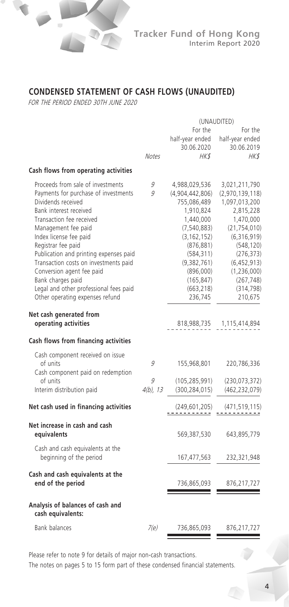

# **CONDENSED STATEMENT OF CASH FLOWS (UNAUDITED)**

FOR THE PERIOD ENDED 30TH JUNE 2020

|                                                                                                                                                                                                                                                                                                                                                                                                                                                |                       |                                                                                                                                                                                                            | (UNAUDITED)                                                                                                                                                                                                     |
|------------------------------------------------------------------------------------------------------------------------------------------------------------------------------------------------------------------------------------------------------------------------------------------------------------------------------------------------------------------------------------------------------------------------------------------------|-----------------------|------------------------------------------------------------------------------------------------------------------------------------------------------------------------------------------------------------|-----------------------------------------------------------------------------------------------------------------------------------------------------------------------------------------------------------------|
|                                                                                                                                                                                                                                                                                                                                                                                                                                                | Notes                 | For the<br>half-year ended<br>30.06.2020<br><b>HK\$</b>                                                                                                                                                    | For the<br>half-year ended<br>30.06.2019<br>HK\$                                                                                                                                                                |
| Cash flows from operating activities                                                                                                                                                                                                                                                                                                                                                                                                           |                       |                                                                                                                                                                                                            |                                                                                                                                                                                                                 |
| Proceeds from sale of investments<br>Payments for purchase of investments<br>Dividends received<br>Bank interest received<br>Transaction fee received<br>Management fee paid<br>Index license fee paid<br>Registrar fee paid<br>Publication and printing expenses paid<br>Transaction costs on investments paid<br>Conversion agent fee paid<br>Bank charges paid<br>Legal and other professional fees paid<br>Other operating expenses refund | 9<br>9                | 4,988,029,536<br>(4,904,442,806)<br>755,086,489<br>1,910,824<br>1,440,000<br>(7, 540, 883)<br>(3, 162, 152)<br>(876, 881)<br>(584, 311)<br>(9,382,761)<br>(896,000)<br>(165, 847)<br>(663, 218)<br>236,745 | 3,021,211,790<br>(2,970,139,118)<br>1,097,013,200<br>2,815,228<br>1,470,000<br>(21, 754, 010)<br>(6,316,919)<br>(548, 120)<br>(276, 373)<br>(6, 452, 913)<br>(1,236,000)<br>(267, 748)<br>(314, 798)<br>210,675 |
| Net cash generated from<br>operating activities                                                                                                                                                                                                                                                                                                                                                                                                |                       | 818,988,735                                                                                                                                                                                                | 1,115,414,894                                                                                                                                                                                                   |
| Cash flows from financing activities                                                                                                                                                                                                                                                                                                                                                                                                           |                       |                                                                                                                                                                                                            |                                                                                                                                                                                                                 |
| Cash component received on issue<br>of units<br>Cash component paid on redemption<br>of units<br>Interim distribution paid                                                                                                                                                                                                                                                                                                                     | 9<br>9<br>$4(b)$ , 13 | 155,968,801<br>(105, 285, 991)<br>(300, 284, 015)                                                                                                                                                          | 220,786,336<br>(230, 073, 372)<br>(462, 232, 079)                                                                                                                                                               |
| Net cash used in financing activities                                                                                                                                                                                                                                                                                                                                                                                                          |                       | (249, 601, 205)                                                                                                                                                                                            | (471,519,115)                                                                                                                                                                                                   |
| Net increase in cash and cash<br>equivalents                                                                                                                                                                                                                                                                                                                                                                                                   |                       | 569,387,530                                                                                                                                                                                                | 643,895,779                                                                                                                                                                                                     |
| Cash and cash equivalents at the<br>beginning of the period                                                                                                                                                                                                                                                                                                                                                                                    |                       | 167,477,563                                                                                                                                                                                                | 232,321,948                                                                                                                                                                                                     |
| Cash and cash equivalents at the<br>end of the period                                                                                                                                                                                                                                                                                                                                                                                          |                       | 736,865,093                                                                                                                                                                                                | 876,217,727                                                                                                                                                                                                     |
| Analysis of balances of cash and<br>cash equivalents:                                                                                                                                                                                                                                                                                                                                                                                          |                       |                                                                                                                                                                                                            |                                                                                                                                                                                                                 |
| Bank balances                                                                                                                                                                                                                                                                                                                                                                                                                                  | 7(e)                  | 736,865,093                                                                                                                                                                                                | 876,217,727                                                                                                                                                                                                     |
|                                                                                                                                                                                                                                                                                                                                                                                                                                                |                       |                                                                                                                                                                                                            |                                                                                                                                                                                                                 |

Please refer to note 9 for details of major non-cash transactions.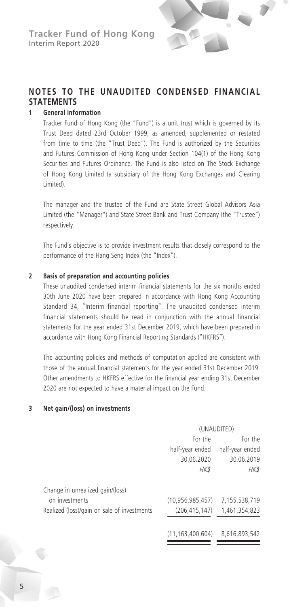# **NOTES TO THE UNAUDITED CONDENSED FINANCIAL STATEMENTS**

#### **1 General Information**

Tracker Fund of Hong Kong (the "Fund") is a unit trust which is governed by its Trust Deed dated 23rd October 1999, as amended, supplemented or restated from time to time (the "Trust Deed"). The Fund is authorized by the Securities and Futures Commission of Hong Kong under Section 104(1) of the Hong Kong Securities and Futures Ordinance. The Fund is also listed on The Stock Exchange of Hong Kong Limited (a subsidiary of the Hong Kong Exchanges and Clearing Limited).

The manager and the trustee of the Fund are State Street Global Advisors Asia Limited (the "Manager") and State Street Bank and Trust Company (the "Trustee") respectively.

The Fund's objective is to provide investment results that closely correspond to the performance of the Hang Seng Index (the "Index").

#### **2 Basis of preparation and accounting policies**

These unaudited condensed interim financial statements for the six months ended 30th June 2020 have been prepared in accordance with Hong Kong Accounting Standard 34, "Interim financial reporting". The unaudited condensed interim financial statements should be read in conjunction with the annual financial statements for the year ended 31st December 2019, which have been prepared in accordance with Hong Kong Financial Reporting Standards ("HKFRS").

The accounting policies and methods of computation applied are consistent with those of the annual financial statements for the year ended 31st December 2019. Other amendments to HKFRS effective for the financial year ending 31st December 2020 are not expected to have a material impact on the Fund.

#### **3 Net gain/(loss) on investments**

|                                             | (UNAUDITED)         |                 |  |
|---------------------------------------------|---------------------|-----------------|--|
|                                             | For the             | For the         |  |
|                                             | half-year ended     | half-year ended |  |
|                                             | 30.06.2020          | 30.06.2019      |  |
|                                             | <b>HK\$</b>         | HK\$            |  |
| Change in unrealized gain/(loss)            |                     |                 |  |
| on investments                              | (10, 956, 985, 457) | 7,155,538,719   |  |
| Realized (loss)/gain on sale of investments | (206, 415, 147)     | 1,461,354,823   |  |
|                                             | (11, 163, 400, 604) | 8,616,893,542   |  |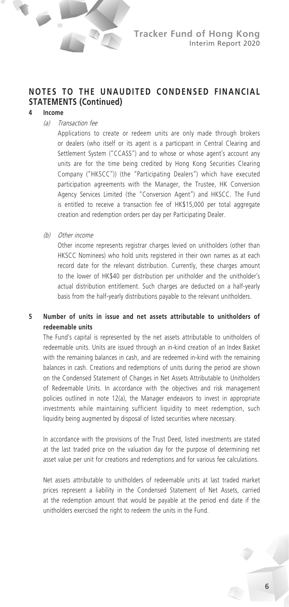#### **4 Income**

(a) Transaction fee

Applications to create or redeem units are only made through brokers or dealers (who itself or its agent is a participant in Central Clearing and Settlement System ("CCASS") and to whose or whose agent's account any units are for the time being credited by Hong Kong Securities Clearing Company ("HKSCC")) (the "Participating Dealers") which have executed participation agreements with the Manager, the Trustee, HK Conversion Agency Services Limited (the "Conversion Agent") and HKSCC. The Fund is entitled to receive a transaction fee of HK\$15,000 per total aggregate creation and redemption orders per day per Participating Dealer.

(b) Other income

Other income represents registrar charges levied on unitholders (other than HKSCC Nominees) who hold units registered in their own names as at each record date for the relevant distribution. Currently, these charges amount to the lower of HK\$40 per distribution per unitholder and the unitholder's actual distribution entitlement. Such charges are deducted on a half-yearly basis from the half-yearly distributions payable to the relevant unitholders.

#### **5 Number of units in issue and net assets attributable to unitholders of redeemable units**

The Fund's capital is represented by the net assets attributable to unitholders of redeemable units. Units are issued through an in-kind creation of an Index Basket with the remaining balances in cash, and are redeemed in-kind with the remaining balances in cash. Creations and redemptions of units during the period are shown on the Condensed Statement of Changes in Net Assets Attributable to Unitholders of Redeemable Units. In accordance with the objectives and risk management policies outlined in note 12(a), the Manager endeavors to invest in appropriate investments while maintaining sufficient liquidity to meet redemption, such liquidity being augmented by disposal of listed securities where necessary.

In accordance with the provisions of the Trust Deed, listed investments are stated at the last traded price on the valuation day for the purpose of determining net asset value per unit for creations and redemptions and for various fee calculations.

Net assets attributable to unitholders of redeemable units at last traded market prices represent a liability in the Condensed Statement of Net Assets, carried at the redemption amount that would be payable at the period end date if the unitholders exercised the right to redeem the units in the Fund.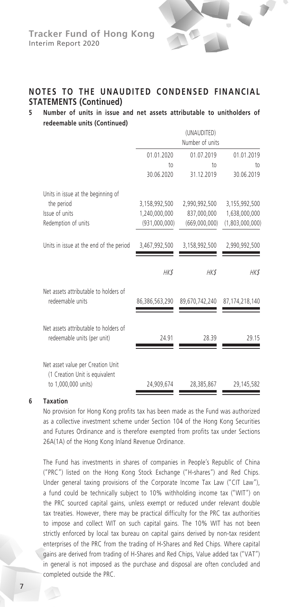#### **NOTES TO THE UNAUDITED CONDENSED FINANCIAL STATEMENTS (Continued)**

#### **5 Number of units in issue and net assets attributable to unitholders of redeemable units (Continued)**

|                                                                      |                | (UNAUDITED)<br>Number of units |                 |
|----------------------------------------------------------------------|----------------|--------------------------------|-----------------|
|                                                                      | 01.01.2020     | 01.07.2019                     | 01.01.2019      |
|                                                                      | to             | 10 <sub>o</sub>                | to              |
|                                                                      | 30.06.2020     | 31.12.2019                     | 30.06.2019      |
| Units in issue at the beginning of                                   |                |                                |                 |
| the period                                                           | 3,158,992,500  | 2,990,992,500                  | 3,155,992,500   |
| Issue of units                                                       | 1,240,000,000  | 837,000,000                    | 1,638,000,000   |
| Redemption of units                                                  | (931,000,000)  | (669,000,000)                  | (1,803,000,000) |
| Units in issue at the end of the period                              | 3,467,992,500  | 3,158,992,500                  | 2,990,992,500   |
|                                                                      | HK\$           | <b>HK\$</b>                    | <b>HK\$</b>     |
| Net assets attributable to holders of<br>redeemable units            | 86,386,563,290 | 89,670,742,240                 | 87,174,218,140  |
| Net assets attributable to holders of<br>redeemable units (per unit) | 24.91          | 28.39                          | 29.15           |
| Net asset value per Creation Unit<br>(1 Creation Unit is equivalent  |                |                                |                 |
| to 1,000,000 units)                                                  | 24,909,674     | 28,385,867                     | 29,145,582      |

#### **6 Taxation**

No provision for Hong Kong profits tax has been made as the Fund was authorized as a collective investment scheme under Section 104 of the Hong Kong Securities and Futures Ordinance and is therefore exempted from profits tax under Sections 26A(1A) of the Hong Kong Inland Revenue Ordinance.

The Fund has investments in shares of companies in People's Republic of China ("PRC") listed on the Hong Kong Stock Exchange ("H-shares") and Red Chips. Under general taxing provisions of the Corporate Income Tax Law ("CIT Law"), a fund could be technically subject to 10% withholding income tax ("WIT") on the PRC sourced capital gains, unless exempt or reduced under relevant double tax treaties. However, there may be practical difficulty for the PRC tax authorities to impose and collect WIT on such capital gains. The 10% WIT has not been strictly enforced by local tax bureau on capital gains derived by non-tax resident enterprises of the PRC from the trading of H-Shares and Red Chips. Where capital gains are derived from trading of H-Shares and Red Chips, Value added tax ("VAT") in general is not imposed as the purchase and disposal are often concluded and completed outside the PRC.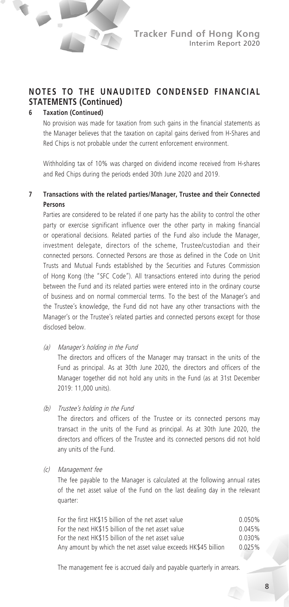#### **6 Taxation (Continued)**

No provision was made for taxation from such gains in the financial statements as the Manager believes that the taxation on capital gains derived from H-Shares and Red Chips is not probable under the current enforcement environment.

Withholding tax of 10% was charged on dividend income received from H-shares and Red Chips during the periods ended 30th June 2020 and 2019.

#### **7 Transactions with the related parties/Manager, Trustee and their Connected Persons**

Parties are considered to be related if one party has the ability to control the other party or exercise significant influence over the other party in making financial or operational decisions. Related parties of the Fund also include the Manager, investment delegate, directors of the scheme, Trustee/custodian and their connected persons. Connected Persons are those as defined in the Code on Unit Trusts and Mutual Funds established by the Securities and Futures Commission of Hong Kong (the "SFC Code"). All transactions entered into during the period between the Fund and its related parties were entered into in the ordinary course of business and on normal commercial terms. To the best of the Manager's and the Trustee's knowledge, the Fund did not have any other transactions with the Manager's or the Trustee's related parties and connected persons except for those disclosed below.

(a) Manager's holding in the Fund

The directors and officers of the Manager may transact in the units of the Fund as principal. As at 30th June 2020, the directors and officers of the Manager together did not hold any units in the Fund (as at 31st December 2019: 11,000 units).

(b) Trustee's holding in the Fund

The directors and officers of the Trustee or its connected persons may transact in the units of the Fund as principal. As at 30th June 2020, the directors and officers of the Trustee and its connected persons did not hold any units of the Fund.

(c) Management fee

The fee payable to the Manager is calculated at the following annual rates of the net asset value of the Fund on the last dealing day in the relevant quarter:

| For the first HK\$15 billion of the net asset value            | 0.050% |
|----------------------------------------------------------------|--------|
| For the next HK\$15 billion of the net asset value             | 0.045% |
| For the next HK\$15 billion of the net asset value             | 0.030% |
| Any amount by which the net asset value exceeds HK\$45 billion | 0.025% |

The management fee is accrued daily and payable quarterly in arrears.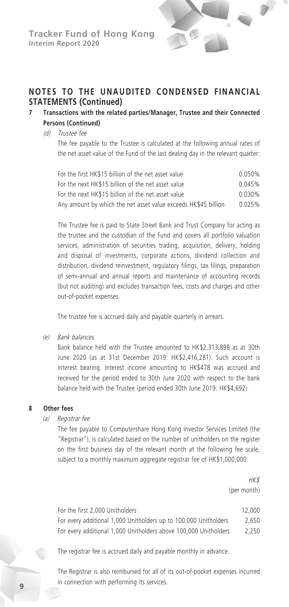# **NOTES TO THE UNAUDITED CONDENSED FINANCIAL STATEMENTS (Continued)**

#### **7 Transactions with the related parties/Manager, Trustee and their Connected Persons (Continued)**

#### (d) Trustee fee

The fee payable to the Trustee is calculated at the following annual rates of the net asset value of the Fund of the last dealing day in the relevant quarter:

| For the first HK\$15 billion of the net asset value            | 0.050% |
|----------------------------------------------------------------|--------|
| For the next HK\$15 billion of the net asset value             | 0.045% |
| For the next HK\$15 billion of the net asset value             | 0.030% |
| Any amount by which the net asset value exceeds HK\$45 billion | 0.025% |

The Trustee fee is paid to State Street Bank and Trust Company for acting as the trustee and the custodian of the Fund and covers all portfolio valuation services, administration of securities trading, acquisition, delivery, holding and disposal of investments, corporate actions, dividend collection and distribution, dividend reinvestment, regulatory filings, tax filings, preparation of semi-annual and annual reports and maintenance of accounting records (but not auditing) and excludes transaction fees, costs and charges and other out-of-pocket expenses.

The trustee fee is accrued daily and payable quarterly in arrears.

#### (e) Bank balances

Bank balance held with the Trustee amounted to HK\$2,313,898 as at 30th June 2020 (as at 31st December 2019: HK\$2,416,281). Such account is interest bearing. Interest income amounting to HK\$478 was accrued and received for the period ended to 30th June 2020 with respect to the bank balance held with the Trustee (period ended 30th June 2019: HK\$4,692).

#### **8 Other fees**

#### (a) Registrar fee

The fee payable to Computershare Hong Kong Investor Services Limited (the "Registrar"), is calculated based on the number of unitholders on the register on the first business day of the relevant month at the following fee scale, subject to a monthly maximum aggregate registrar fee of HK\$1,000,000.

> HK\$ (per month)

| For the first 2,000 Unitholders                                  | 12,000 |
|------------------------------------------------------------------|--------|
| For every additional 1,000 Unitholders up to 100,000 Unitholders | 2.650  |
| For every additional 1,000 Unitholders above 100,000 Unitholders | 2.250  |

The registrar fee is accrued daily and payable monthly in advance.

The Registrar is also reimbursed for all of its out-of-pocket expenses incurred in connection with performing its services.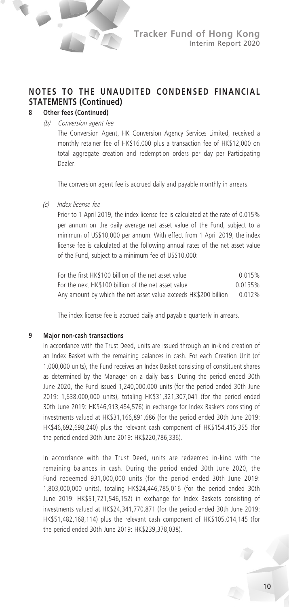

#### **8 Other fees (Continued)**

(b) Conversion agent fee

The Conversion Agent, HK Conversion Agency Services Limited, received a monthly retainer fee of HK\$16,000 plus a transaction fee of HK\$12,000 on total aggregate creation and redemption orders per day per Participating Dealer.

The conversion agent fee is accrued daily and payable monthly in arrears.

(c) Index license fee

Prior to 1 April 2019, the index license fee is calculated at the rate of 0.015% per annum on the daily average net asset value of the Fund, subject to a minimum of US\$10,000 per annum. With effect from 1 April 2019, the index license fee is calculated at the following annual rates of the net asset value of the Fund, subject to a minimum fee of US\$10,000:

| For the first HK\$100 billion of the net asset value            | 0.015%  |
|-----------------------------------------------------------------|---------|
| For the next HK\$100 billion of the net asset value             | 0.0135% |
| Any amount by which the net asset value exceeds HK\$200 billion | 0.012%  |

The index license fee is accrued daily and payable quarterly in arrears.

#### **9 Major non-cash transactions**

In accordance with the Trust Deed, units are issued through an in-kind creation of an Index Basket with the remaining balances in cash. For each Creation Unit (of 1,000,000 units), the Fund receives an Index Basket consisting of constituent shares as determined by the Manager on a daily basis. During the period ended 30th June 2020, the Fund issued 1,240,000,000 units (for the period ended 30th June 2019: 1,638,000,000 units), totaling HK\$31,321,307,041 (for the period ended 30th June 2019: HK\$46,913,484,576) in exchange for Index Baskets consisting of investments valued at HK\$31,166,891,686 (for the period ended 30th June 2019: HK\$46,692,698,240) plus the relevant cash component of HK\$154,415,355 (for the period ended 30th June 2019: HK\$220,786,336).

In accordance with the Trust Deed, units are redeemed in-kind with the remaining balances in cash. During the period ended 30th June 2020, the Fund redeemed 931,000,000 units (for the period ended 30th June 2019: 1,803,000,000 units), totaling HK\$24,446,785,016 (for the period ended 30th June 2019: HK\$51,721,546,152) in exchange for Index Baskets consisting of investments valued at HK\$24,341,770,871 (for the period ended 30th June 2019: HK\$51,482,168,114) plus the relevant cash component of HK\$105,014,145 (for the period ended 30th June 2019: HK\$239,378,038).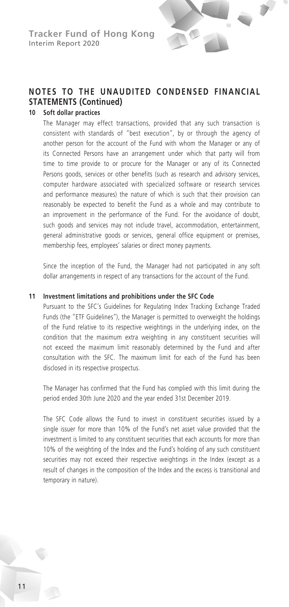# **NOTES TO THE UNAUDITED CONDENSED FINANCIAL STATEMENTS (Continued)**

#### **10 Soft dollar practices**

The Manager may effect transactions, provided that any such transaction is consistent with standards of "best execution", by or through the agency of another person for the account of the Fund with whom the Manager or any of its Connected Persons have an arrangement under which that party will from time to time provide to or procure for the Manager or any of its Connected Persons goods, services or other benefits (such as research and advisory services, computer hardware associated with specialized software or research services and performance measures) the nature of which is such that their provision can reasonably be expected to benefit the Fund as a whole and may contribute to an improvement in the performance of the Fund. For the avoidance of doubt, such goods and services may not include travel, accommodation, entertainment, general administrative goods or services, general office equipment or premises, membership fees, employees' salaries or direct money payments.

Since the inception of the Fund, the Manager had not participated in any soft dollar arrangements in respect of any transactions for the account of the Fund.

#### **11 Investment limitations and prohibitions under the SFC Code**

Pursuant to the SFC's Guidelines for Regulating Index Tracking Exchange Traded Funds (the "ETF Guidelines"), the Manager is permitted to overweight the holdings of the Fund relative to its respective weightings in the underlying index, on the condition that the maximum extra weighting in any constituent securities will not exceed the maximum limit reasonably determined by the Fund and after consultation with the SFC. The maximum limit for each of the Fund has been disclosed in its respective prospectus.

The Manager has confirmed that the Fund has complied with this limit during the period ended 30th June 2020 and the year ended 31st December 2019.

The SFC Code allows the Fund to invest in constituent securities issued by a single issuer for more than 10% of the Fund's net asset value provided that the investment is limited to any constituent securities that each accounts for more than 10% of the weighting of the Index and the Fund's holding of any such constituent securities may not exceed their respective weightings in the Index (except as a result of changes in the composition of the Index and the excess is transitional and temporary in nature).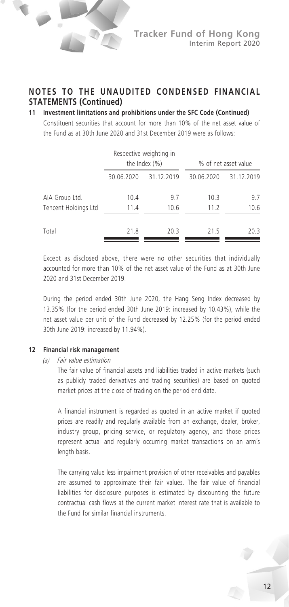

#### **11 Investment limitations and prohibitions under the SFC Code (Continued)**

Constituent securities that account for more than 10% of the net asset value of the Fund as at 30th June 2020 and 31st December 2019 were as follows:

|                                        |              | Respective weighting in<br>the Index (%) |              | % of net asset value |
|----------------------------------------|--------------|------------------------------------------|--------------|----------------------|
|                                        | 30.06.2020   | 31.12.2019                               | 30.06.2020   | 31.12.2019           |
| AIA Group Ltd.<br>Tencent Holdings Ltd | 10.4<br>11.4 | 9.7<br>10.6                              | 10.3<br>11.2 | 9.7<br>10.6          |
| Total                                  | 21.8         | 20.3                                     | 21.5         | 20.3                 |

Except as disclosed above, there were no other securities that individually accounted for more than 10% of the net asset value of the Fund as at 30th June 2020 and 31st December 2019.

During the period ended 30th June 2020, the Hang Seng Index decreased by 13.35% (for the period ended 30th June 2019: increased by 10.43%), while the net asset value per unit of the Fund decreased by 12.25% (for the period ended 30th June 2019: increased by 11.94%).

#### **12 Financial risk management**

(a) Fair value estimation

The fair value of financial assets and liabilities traded in active markets (such as publicly traded derivatives and trading securities) are based on quoted market prices at the close of trading on the period end date.

A financial instrument is regarded as quoted in an active market if quoted prices are readily and regularly available from an exchange, dealer, broker, industry group, pricing service, or regulatory agency, and those prices represent actual and regularly occurring market transactions on an arm's length basis.

The carrying value less impairment provision of other receivables and payables are assumed to approximate their fair values. The fair value of financial liabilities for disclosure purposes is estimated by discounting the future contractual cash flows at the current market interest rate that is available to the Fund for similar financial instruments.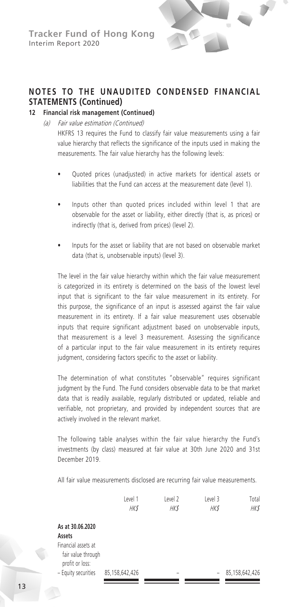# **NOTES TO THE UNAUDITED CONDENSED FINANCIAL STATEMENTS (Continued)**

#### **12 Financial risk management (Continued)**

(a) Fair value estimation (Continued)

HKFRS 13 requires the Fund to classify fair value measurements using a fair value hierarchy that reflects the significance of the inputs used in making the measurements. The fair value hierarchy has the following levels:

- Quoted prices (unadjusted) in active markets for identical assets or liabilities that the Fund can access at the measurement date (level 1).
- Inputs other than quoted prices included within level 1 that are observable for the asset or liability, either directly (that is, as prices) or indirectly (that is, derived from prices) (level 2).
- Inputs for the asset or liability that are not based on observable market data (that is, unobservable inputs) (level 3).

The level in the fair value hierarchy within which the fair value measurement is categorized in its entirety is determined on the basis of the lowest level input that is significant to the fair value measurement in its entirety. For this purpose, the significance of an input is assessed against the fair value measurement in its entirety. If a fair value measurement uses observable inputs that require significant adjustment based on unobservable inputs, that measurement is a level 3 measurement. Assessing the significance of a particular input to the fair value measurement in its entirety requires judgment, considering factors specific to the asset or liability.

The determination of what constitutes "observable" requires significant judgment by the Fund. The Fund considers observable data to be that market data that is readily available, regularly distributed or updated, reliable and verifiable, not proprietary, and provided by independent sources that are actively involved in the relevant market.

The following table analyses within the fair value hierarchy the Fund's investments (by class) measured at fair value at 30th June 2020 and 31st December 2019.

All fair value measurements disclosed are recurring fair value measurements.

|                                                                                            | Level 1<br><b>HK\$</b> | Level 2<br><b>HK\$</b> | Level 3<br><b>HK\$</b> | Total<br><b>HK\$</b> |
|--------------------------------------------------------------------------------------------|------------------------|------------------------|------------------------|----------------------|
| As at 30.06.2020<br>Assets<br>Financial assets at<br>fair value through<br>profit or loss: |                        |                        |                        |                      |
| - Equity securities                                                                        | 85,158,642,426         | -                      |                        | 85,158,642,426       |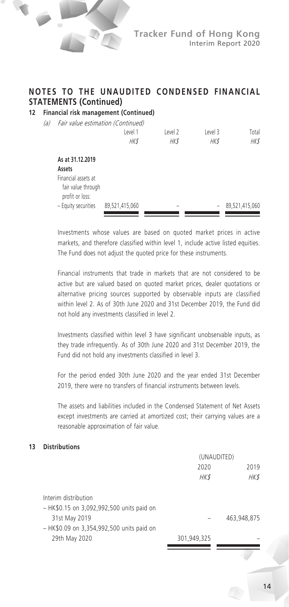

#### **12 Financial risk management (Continued)**

| (a) | Fair value estimation (Continued)                            |                |             |             |                |
|-----|--------------------------------------------------------------|----------------|-------------|-------------|----------------|
|     |                                                              | Level 1        | Level 2     | Level 3     | Total          |
|     |                                                              | <b>HK\$</b>    | <b>HK\$</b> | <b>HK\$</b> | <b>HK\$</b>    |
|     | As at 31.12.2019                                             |                |             |             |                |
|     | Assets                                                       |                |             |             |                |
|     | Financial assets at<br>fair value through<br>profit or loss: |                |             |             |                |
|     | - Equity securities                                          | 89,521,415,060 | -           | ۰           | 89,521,415,060 |

Investments whose values are based on quoted market prices in active markets, and therefore classified within level 1, include active listed equities. The Fund does not adjust the quoted price for these instruments.

Financial instruments that trade in markets that are not considered to be active but are valued based on quoted market prices, dealer quotations or alternative pricing sources supported by observable inputs are classified within level 2. As of 30th June 2020 and 31st December 2019, the Fund did not hold any investments classified in level 2.

Investments classified within level 3 have significant unobservable inputs, as they trade infrequently. As of 30th June 2020 and 31st December 2019, the Fund did not hold any investments classified in level 3.

For the period ended 30th June 2020 and the year ended 31st December 2019, there were no transfers of financial instruments between levels.

The assets and liabilities included in the Condensed Statement of Net Assets except investments are carried at amortized cost; their carrying values are a reasonable approximation of fair value.

#### **13 Distributions**

|                                           | (UNAUDITED) |             |  |
|-------------------------------------------|-------------|-------------|--|
|                                           | 2020        | 2019        |  |
|                                           | <b>HK\$</b> | HK\$        |  |
| Interim distribution                      |             |             |  |
| - HK\$0.15 on 3,092,992,500 units paid on |             |             |  |
| 31st May 2019                             |             | 463.948.875 |  |
| - HK\$0.09 on 3,354,992,500 units paid on |             |             |  |
| 29th May 2020                             | 301,949,325 |             |  |
|                                           |             |             |  |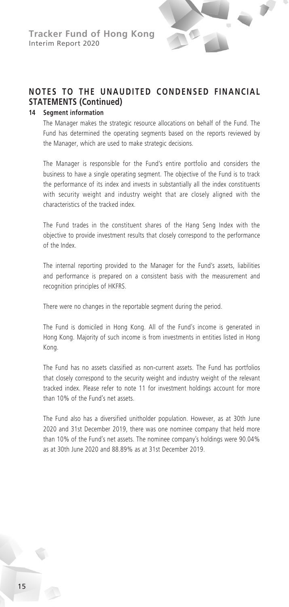# **NOTES TO THE UNAUDITED CONDENSED FINANCIAL STATEMENTS (Continued)**

#### **14 Segment information**

The Manager makes the strategic resource allocations on behalf of the Fund. The Fund has determined the operating segments based on the reports reviewed by the Manager, which are used to make strategic decisions.

The Manager is responsible for the Fund's entire portfolio and considers the business to have a single operating segment. The objective of the Fund is to track the performance of its index and invests in substantially all the index constituents with security weight and industry weight that are closely aligned with the characteristics of the tracked index.

The Fund trades in the constituent shares of the Hang Seng Index with the objective to provide investment results that closely correspond to the performance of the Index.

The internal reporting provided to the Manager for the Fund's assets, liabilities and performance is prepared on a consistent basis with the measurement and recognition principles of HKFRS.

There were no changes in the reportable segment during the period.

The Fund is domiciled in Hong Kong. All of the Fund's income is generated in Hong Kong. Majority of such income is from investments in entities listed in Hong Kong.

The Fund has no assets classified as non-current assets. The Fund has portfolios that closely correspond to the security weight and industry weight of the relevant tracked index. Please refer to note 11 for investment holdings account for more than 10% of the Fund's net assets.

The Fund also has a diversified unitholder population. However, as at 30th June 2020 and 31st December 2019, there was one nominee company that held more than 10% of the Fund's net assets. The nominee company's holdings were 90.04% as at 30th June 2020 and 88.89% as at 31st December 2019.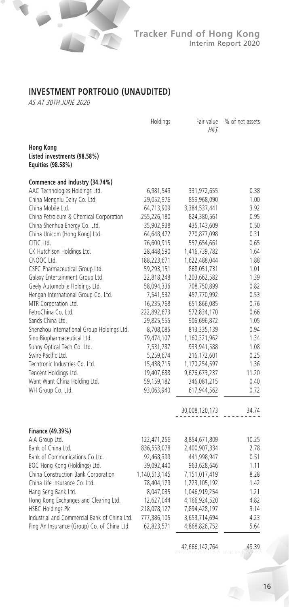

# **INVESTMENT PORTFOLIO (UNAUDITED)**

AS AT 30TH JUNE 2020

|                                                                      | Holdings      | Fair value<br>HK\$ | % of net assets |
|----------------------------------------------------------------------|---------------|--------------------|-----------------|
| <b>Hong Kong</b><br>Listed investments (98.58%)<br>Equities (98.58%) |               |                    |                 |
| Commence and Industry (34.74%)                                       |               |                    |                 |
| AAC Technologies Holdings Ltd.                                       | 6,981,549     | 331,972,655        | 0.38            |
| China Mengniu Dairy Co. Ltd.                                         | 29,052,976    | 859,968,090        | 1.00            |
| China Mobile Ltd.                                                    | 64,713,909    | 3,384,537,441      | 3.92            |
| China Petroleum & Chemical Corporation                               | 255,226,180   | 824,380,561        | 0.95            |
| China Shenhua Energy Co. Ltd.                                        | 35,902,938    | 435,143,609        | 0.50            |
| China Unicom (Hong Kong) Ltd.                                        | 64,648,472    | 270,877,098        | 0.31            |
| CITIC Ltd.                                                           | 76,600,915    | 557,654,661        | 0.65            |
| CK Hutchison Holdings Ltd.                                           | 28,448,590    | 1,416,739,782      | 1.64            |
| CNOOC Ltd.                                                           | 188,223,671   | 1,622,488,044      | 1.88            |
| CSPC Pharmaceutical Group Ltd.                                       | 59,293,151    | 868,051,731        | 1.01            |
| Galaxy Entertainment Group Ltd.                                      | 22,818,248    | 1,203,662,582      | 1.39            |
| Geely Automobile Holdings Ltd.                                       | 58,094,336    | 708,750,899        | 0.82            |
| Hengan International Group Co. Ltd.                                  | 7,541,532     | 457,770,992        | 0.53            |
| MTR Corporation Ltd.                                                 | 16,235,768    | 651,866,085        | 0.76            |
| PetroChina Co. Ltd.                                                  | 222,892,673   | 572,834,170        | 0.66            |
| Sands China Ltd.                                                     | 29,825,555    | 906,696,872        | 1.05            |
| Shenzhou International Group Holdings Ltd.                           | 8,708,085     | 813,335,139        | 0.94            |
| Sino Biopharmaceutical Ltd.                                          | 79,474,107    | 1,160,321,962      | 1.34            |
| Sunny Optical Tech Co. Ltd.                                          | 7,531,787     | 933,941,588        | 1.08            |
| Swire Pacific Ltd.                                                   | 5,259,674     | 216,172,601        | 0.25            |
| Techtronic Industries Co. Ltd.                                       | 15,438,715    | 1,170,254,597      | 1.36            |
| Tencent Holdings Ltd.                                                | 19,407,688    | 9,676,673,237      | 11.20           |
| Want Want China Holding Ltd.                                         | 59,159,182    | 346,081,215        | 0.40            |
| WH Group Co. Ltd.                                                    | 93,063,940    | 617,944,562        | 0.72            |
|                                                                      |               | 30,008,120,173     | 34.74           |
| Finance (49.39%)                                                     |               |                    |                 |
| AIA Group Ltd.                                                       | 122,471,256   | 8,854,671,809      | 10.25           |
| Bank of China Ltd.                                                   | 836,553,078   | 2,400,907,334      | 2.78            |
| Bank of Communications Co Ltd.                                       | 92,468,399    | 441,998,947        | 0.51            |
| BOC Hong Kong (Holdings) Ltd.                                        | 39,092,440    | 963,628,646        | 1.11            |
| China Construction Bank Corporation                                  | 1,140,513,145 | 7,151,017,419      | 8.28            |
| China Life Insurance Co. Ltd.                                        | 78,404,179    | 1,223,105,192      | 1.42            |
| Hang Seng Bank Ltd.                                                  | 8,047,035     | 1,046,919,254      | 1.21            |
| Hong Kong Exchanges and Clearing Ltd.                                | 12,627,044    | 4,166,924,520      | 4.82            |
| <b>HSBC Holdings Plc</b>                                             | 218,078,127   | 7,894,428,197      | 9.14            |
| Industrial and Commercial Bank of China Ltd.                         | 777,386,105   | 3,653,714,694      | 4.23            |
| Ping An Insurance (Group) Co. of China Ltd.                          | 62,823,571    | 4,868,826,752      | 5.64            |
|                                                                      |               |                    |                 |

42,666,142,764 49.39

16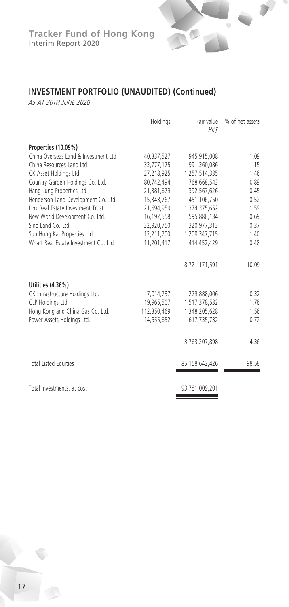# **INVESTMENT PORTFOLIO (UNAUDITED) (Continued)**

O.

AS AT 30TH JUNE 2020

|                                       | Holdings    | Fair value<br>HK\$ | % of net assets |
|---------------------------------------|-------------|--------------------|-----------------|
| Properties (10.09%)                   |             |                    |                 |
| China Overseas Land & Investment Ltd. | 40,337,527  | 945,915,008        | 1.09            |
| China Resources Land Ltd.             | 33,777,175  | 991.360.086        | 1.15            |
| CK Asset Holdings Ltd.                | 27,218,925  | 1,257,514,335      | 1.46            |
| Country Garden Holdings Co. Ltd.      | 80,742,494  | 768,668,543        | 0.89            |
| Hang Lung Properties Ltd.             | 21.381.679  | 392.567.626        | 0.45            |
| Henderson Land Development Co. Ltd.   | 15,343,767  | 451,106,750        | 0.52            |
| Link Real Estate Investment Trust     | 21,694,959  | 1,374,375,652      | 1.59            |
| New World Development Co. Ltd.        | 16,192,558  | 595,886,134        | 0.69            |
| Sino Land Co. Ltd.                    | 32,920,750  | 320,977,313        | 0.37            |
| Sun Hung Kai Properties Ltd.          | 12,211,700  | 1,208,347,715      | 1.40            |
| Wharf Real Estate Investment Co. Ltd. | 11,201,417  | 414,452,429        | 0.48            |
|                                       |             | 8,721,171,591      | 10.09           |
| Utilities (4.36%)                     |             |                    |                 |
| CK Infrastructure Holdings Ltd.       | 7,014,737   | 279,888,006        | 0.32            |
| CLP Holdings Ltd.                     | 19,965,507  | 1,517,378,532      | 1.76            |
| Hong Kong and China Gas Co. Ltd.      | 112,350,469 | 1,348,205,628      | 1.56            |
| Power Assets Holdings Ltd.            | 14,655,652  | 617,735,732        | 0.72            |
|                                       |             | 3,763,207,898      | 4.36            |
|                                       |             |                    |                 |
| <b>Total Listed Equities</b>          |             | 85,158,642,426     | 98.58           |
| Total investments, at cost            |             | 93,781,009,201     |                 |
|                                       |             |                    |                 |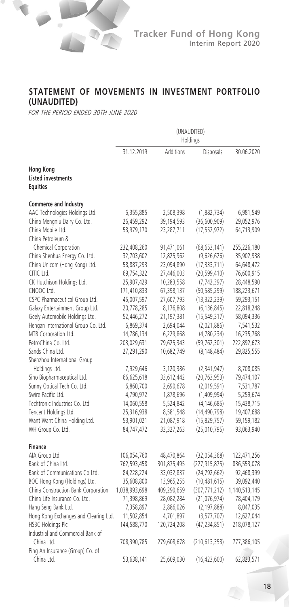

# **STATEMENT OF MOVEMENTS IN INVESTMENT PORTFOLIO (UNAUDITED)**

FOR THE PERIOD ENDED 30TH JUNE 2020

|                                       | (UNAUDITED)<br>Holdings |             |                 |               |
|---------------------------------------|-------------------------|-------------|-----------------|---------------|
|                                       | 31.12.2019              | Additions   | Disposals       | 30.06.2020    |
| <b>Hong Kong</b>                      |                         |             |                 |               |
| <b>Listed investments</b>             |                         |             |                 |               |
| <b>Equities</b>                       |                         |             |                 |               |
| Commerce and Industry                 |                         |             |                 |               |
| AAC Technologies Holdings Ltd.        | 6,355,885               | 2,508,398   | (1,882,734)     | 6,981,549     |
| China Mengniu Dairy Co. Ltd.          | 26,459,292              | 39,194,593  | (36,600,909)    | 29,052,976    |
| China Mobile Ltd.                     | 58,979,170              | 23,287,711  | (17, 552, 972)  | 64,713,909    |
| China Petroleum &                     |                         |             |                 |               |
| Chemical Corporation                  | 232,408,260             | 91,471,061  | (68, 653, 141)  | 255,226,180   |
| China Shenhua Energy Co. Ltd.         | 32,703,602              | 12,825,962  | (9,626,626)     | 35,902,938    |
| China Unicom (Hong Kong) Ltd.         | 58,887,293              | 23,094,890  | (17, 333, 711)  | 64,648,472    |
| CITIC Ltd.                            | 69,754,322              | 27,446,003  | (20, 599, 410)  | 76,600,915    |
| CK Hutchison Holdings Ltd.            | 25,907,429              | 10,283,558  | (7, 742, 397)   | 28,448,590    |
| CNOOC Ltd.                            | 171,410,833             | 67,398,137  | (50, 585, 299)  | 188,223,671   |
| CSPC Pharmaceutical Group Ltd.        | 45,007,597              | 27,607,793  | (13, 322, 239)  | 59,293,151    |
| Galaxy Entertainment Group Ltd.       | 20,778,285              | 8,176,808   | (6, 136, 845)   | 22,818,248    |
| Geely Automobile Holdings Ltd.        | 52,446,272              | 21,197,381  | (15, 549, 317)  | 58,094,336    |
| Hengan International Group Co. Ltd.   | 6,869,374               | 2,694,044   | (2,021,886)     | 7,541,532     |
| MTR Corporation Ltd.                  | 14,786,134              | 6,229,868   | (4,780,234)     | 16,235,768    |
| PetroChina Co. Ltd.                   | 203,029,631             | 79,625,343  | (59, 762, 301)  | 222,892,673   |
| Sands China Ltd.                      | 27,291,290              | 10,682,749  | (8, 148, 484)   | 29,825,555    |
| Shenzhou International Group          |                         |             |                 |               |
| Holdings Ltd.                         | 7,929,646               | 3,120,386   | (2,341,947)     | 8,708,085     |
| Sino Biopharmaceutical Ltd.           | 66,625,618              | 33,612,442  | (20, 763, 953)  | 79,474,107    |
| Sunny Optical Tech Co. Ltd.           | 6,860,700               | 2,690,678   | (2,019,591)     | 7,531,787     |
| Swire Pacific Ltd.                    | 4,790,972               | 1,878,696   | (1,409,994)     | 5,259,674     |
| Techtronic Industries Co. Ltd.        | 14,060,558              | 5,524,842   | (4, 146, 685)   | 15,438,715    |
| Tencent Holdings Ltd.                 | 25,316,938              | 8,581,548   | (14, 490, 798)  | 19,407,688    |
| Want Want China Holding Ltd.          | 53,901,021              | 21,087,918  | (15,829,757)    | 59,159,182    |
| WH Group Co. Ltd.                     | 84,747,472              | 33,327,263  | (25,010,795)    | 93,063,940    |
| <b>Finance</b>                        |                         |             |                 |               |
| AIA Group Ltd.                        | 106,054,760             | 48,470,864  | (32,054,368)    | 122,471,256   |
| Bank of China Ltd.                    | 762,593,458             | 301,875,495 | (227, 915, 875) | 836,553,078   |
| Bank of Communications Co Ltd.        | 84,228,224              | 33,032,837  | (24, 792, 662)  | 92,468,399    |
| BOC Hong Kong (Holdings) Ltd.         | 35,608,800              | 13,965,255  | (10, 481, 615)  | 39,092,440    |
| China Construction Bank Corporation   | 1,038,993,698           | 409,290,659 | (307, 771, 212) | 1,140,513,145 |
| China Life Insurance Co. Ltd.         | 71,398,869              | 28,082,284  | (21, 076, 974)  | 78,404,179    |
| Hang Seng Bank Ltd.                   | 7,358,897               | 2,886,026   | (2, 197, 888)   | 8,047,035     |
| Hong Kong Exchanges and Clearing Ltd. | 11,502,854              | 4,701,897   | (3,577,707)     | 12,627,044    |
| HSBC Holdings Plc                     | 144,588,770             | 120,724,208 | (47, 234, 851)  | 218,078,127   |
| Industrial and Commercial Bank of     |                         |             |                 |               |
| China Ltd.                            | 708,390,785             | 279,608,678 | (210, 613, 358) | 777,386,105   |
| Ping An Insurance (Group) Co. of      |                         |             |                 |               |
| China Ltd.                            | 53,638,141              | 25,609,030  | (16, 423, 600)  | 62,823,571    |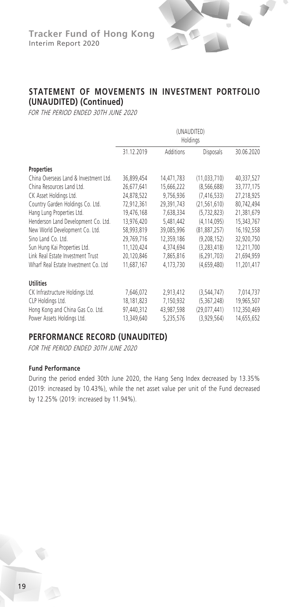#### **STATEMENT OF MOVEMENTS IN INVESTMENT PORTFOLIO (UNAUDITED) (Continued)**

FOR THE PERIOD ENDED 30TH JUNE 2020

|                                       | (UNAUDITED)<br>Holdings |            |                |             |
|---------------------------------------|-------------------------|------------|----------------|-------------|
|                                       | 31.12.2019              | Additions  | Disposals      | 30.06.2020  |
| <b>Properties</b>                     |                         |            |                |             |
| China Overseas Land & Investment Ltd. | 36,899,454              | 14,471,783 | (11,033,710)   | 40,337,527  |
| China Resources Land Ltd.             | 26,677,641              | 15,666,222 | (8, 566, 688)  | 33,777,175  |
| CK Asset Holdings Ltd.                | 24,878,522              | 9,756,936  | (7, 416, 533)  | 27,218,925  |
| Country Garden Holdings Co. Ltd.      | 72,912,361              | 29,391,743 | (21, 561, 610) | 80,742,494  |
| Hang Lung Properties Ltd.             | 19,476,168              | 7,638,334  | (5, 732, 823)  | 21,381,679  |
| Henderson Land Development Co. Ltd.   | 13,976,420              | 5,481,442  | (4.114.095)    | 15,343,767  |
| New World Development Co. Ltd.        | 58,993,819              | 39,085,996 | (81, 887, 257) | 16,192,558  |
| Sino Land Co. Ltd.                    | 29,769,716              | 12,359,186 | (9, 208, 152)  | 32,920,750  |
| Sun Hung Kai Properties Ltd.          | 11,120,424              | 4,374,694  | (3, 283, 418)  | 12,211,700  |
| Link Real Estate Investment Trust     | 20,120,846              | 7,865,816  | (6, 291, 703)  | 21,694,959  |
| Wharf Real Estate Investment Co. Ltd  | 11,687,167              | 4,173,730  | (4,659,480)    | 11,201,417  |
| <b>Utilities</b>                      |                         |            |                |             |
| CK Infrastructure Holdings Ltd.       | 7,646,072               | 2,913,412  | (3, 544, 747)  | 7,014,737   |
| CLP Holdings Ltd.                     | 18,181,823              | 7,150,932  | (5, 367, 248)  | 19,965,507  |
| Hong Kong and China Gas Co. Ltd.      | 97,440,312              | 43,987,598 | (29,077,441)   | 112,350,469 |
| Power Assets Holdings Ltd.            | 13,349,640              | 5,235,576  | (3,929,564)    | 14,655,652  |

#### **PERFORMANCE RECORD (UNAUDITED)**

FOR THE PERIOD ENDED 30TH JUNE 2020

#### **Fund Performance**

During the period ended 30th June 2020, the Hang Seng Index decreased by 13.35% (2019: increased by 10.43%), while the net asset value per unit of the Fund decreased by 12.25% (2019: increased by 11.94%).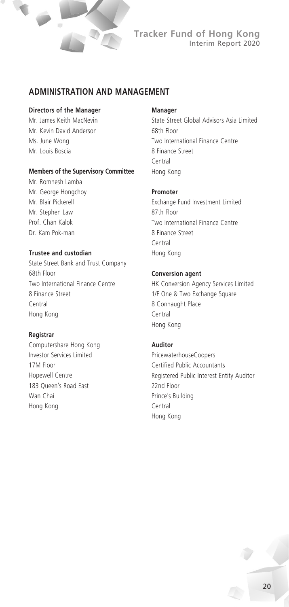

# **ADMINISTRATION AND MANAGEMENT**

#### **Directors of the Manager**

Mr. James Keith MacNevin Mr. Kevin David Anderson Ms. June Wong Mr. Louis Boscia

#### **Members of the Supervisory Committee**

Mr. Romnesh Lamba Mr. George Hongchoy Mr. Blair Pickerell Mr. Stephen Law Prof. Chan Kalok Dr. Kam Pok-man

# **Trustee and custodian**

State Street Bank and Trust Company 68th Floor Two International Finance Centre 8 Finance Street Central Hong Kong

# **Registrar**

Computershare Hong Kong Investor Services Limited 17M Floor Hopewell Centre 183 Queen's Road East Wan Chai Hong Kong

#### **Manager**

State Street Global Advisors Asia Limited 68th Floor Two International Finance Centre 8 Finance Street Central Hong Kong

#### **Promoter**

Exchange Fund Investment Limited 87th Floor Two International Finance Centre 8 Finance Street Central Hong Kong

#### **Conversion agent**

HK Conversion Agency Services Limited 1/F One & Two Exchange Square 8 Connaught Place Central Hong Kong

#### **Auditor**

PricewaterhouseCoopers Certified Public Accountants Registered Public Interest Entity Auditor 22nd Floor Prince's Building Central Hong Kong